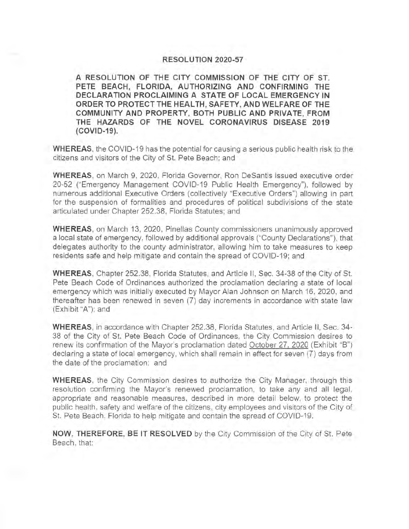## **RESOLUTION 2020-57**

**A RESOLUTION OF THE CITY COMMISSION OF THE CITY OF ST. PETE BEACH, FLORIDA, AUTHORIZING AND CONFIRMING THE DECLARATION PROCLAIMING A STATE OF LOCAL EMERGENCY IN ORDER TO PROTECT THE HEAL TH, SAFETY, AND WELFARE OF THE COMMUNITY AND PROPERTY, BOTH PUBLIC AND PRIVATE, FROM THE HAZARDS OF THE NOVEL CORONAVIRUS DISEASE 2019 (COVID-19).** 

**WHEREAS,** the COVID-19 has the potential for causing a serious public health risk to the citizens and visitors of the City of St. Pete Beach; and

**WHEREAS,** on March 9, 2020, Florida Governor, Ron Desantis issued executive order 20-52 ("Emergency Management COVID-19 Public Health Emergency"), followed by numerous additional Executive Orders (collectively ''Executive Orders") allowing in part for the suspension of formalities and procedures of political subdivisions of the state articulated under Chapter 252.38, Florida Statutes; and

**WHEREAS,** on March 13, 2020, Pinellas County commissioners unanimously approved a local state of emergency, followed by additional approvals ("County Declarations"), that delegates authority to the county administrator, allowing him to take measures to keep residents safe and help mitigate and contain the spread of COVID-19; and

**WHEREAS,** Chapter 252.38, Florida Statutes, and Article II , Sec. 34-38 of the City of St. Pete Beach Code of Ordinances authorized the proclamation declaring a state of local emergency which was initially executed by Mayor Alan Johnson on March 16, 2020, and thereafter has been renewed in seven (7) day increments in accordance with state law (Exhibit "A"); and

**WHEREAS,** in accordance with Chapter 252.38, Florida Statutes , and Article II , Sec. 34- 38 of the City of St. Pete Beach Code of Ordinances, the City Commission desires to renew its confirmation of the Mayor's proclamation dated October 27, 2020 (Exhibit "B") declaring a state of local emergency, which shall remain in effect for seven (7) days from the date of the proclamation; and

**WHEREAS,** the City Commission desires to authorize the City Manager, through this resolution confirming the Mayor's renewed proclamation, to take any and all legal, appropriate and reasonable measures, described in more detail below, to protect the public health , safety and welfare of the citizens, city employees and visitors of the City of St. Pete Beach, Florida to help mitigate and contain the spread of COVID-19.

**NOW, THEREFORE, BE IT RESOLVED** by the City Commission of the City of St. Pete Beach, that: